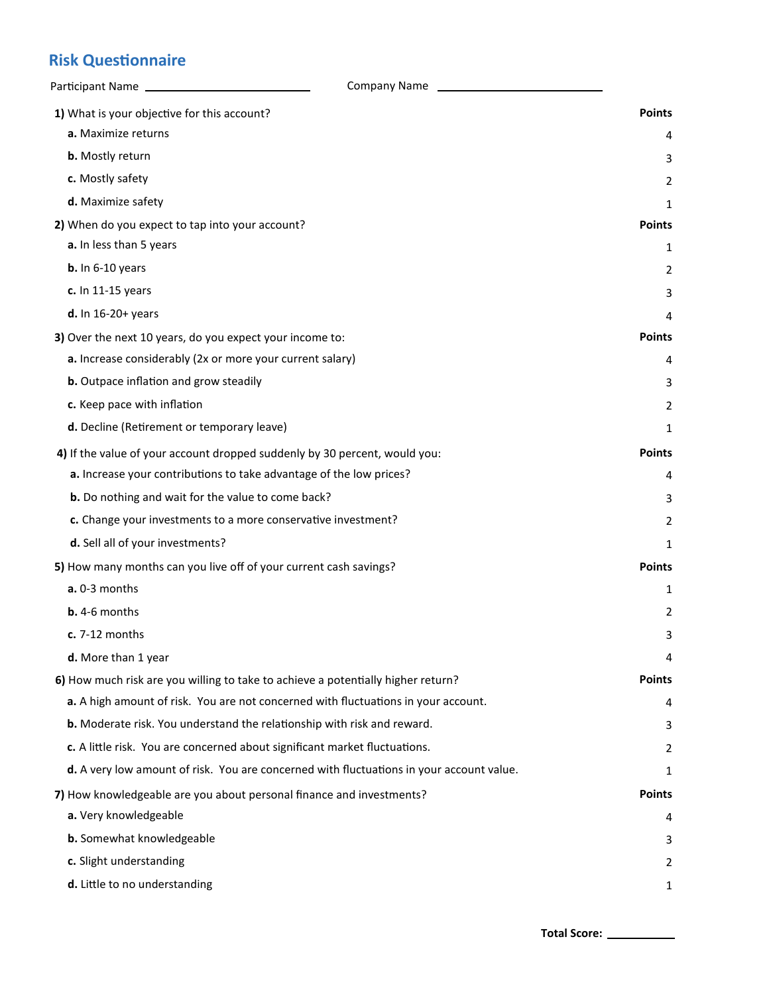## **Risk Questionnaire**

| Participant Name                                                                         | Company Name<br>the contract of the contract of the contract of |               |
|------------------------------------------------------------------------------------------|-----------------------------------------------------------------|---------------|
| 1) What is your objective for this account?                                              |                                                                 | <b>Points</b> |
| a. Maximize returns                                                                      |                                                                 | 4             |
| <b>b.</b> Mostly return                                                                  |                                                                 | 3             |
| c. Mostly safety                                                                         |                                                                 | 2             |
| d. Maximize safety                                                                       |                                                                 | 1             |
| 2) When do you expect to tap into your account?                                          |                                                                 | <b>Points</b> |
| a. In less than 5 years                                                                  |                                                                 | 1             |
| $b.$ In 6-10 years                                                                       |                                                                 | 2             |
| c. In 11-15 years                                                                        |                                                                 | 3             |
| $d.$ In 16-20+ years                                                                     |                                                                 | 4             |
| 3) Over the next 10 years, do you expect your income to:                                 |                                                                 | <b>Points</b> |
| a. Increase considerably (2x or more your current salary)                                |                                                                 | 4             |
| <b>b.</b> Outpace inflation and grow steadily                                            |                                                                 | 3             |
| c. Keep pace with inflation                                                              |                                                                 | 2             |
| d. Decline (Retirement or temporary leave)                                               |                                                                 | 1             |
| 4) If the value of your account dropped suddenly by 30 percent, would you:               |                                                                 | <b>Points</b> |
| a. Increase your contributions to take advantage of the low prices?                      |                                                                 | 4             |
| b. Do nothing and wait for the value to come back?                                       |                                                                 | 3             |
| c. Change your investments to a more conservative investment?                            |                                                                 | 2             |
| d. Sell all of your investments?                                                         |                                                                 | 1             |
| 5) How many months can you live off of your current cash savings?                        |                                                                 | <b>Points</b> |
| a. 0-3 months                                                                            |                                                                 | 1             |
| $b. 4-6$ months                                                                          |                                                                 | 2             |
| $c. 7-12$ months                                                                         |                                                                 | 3             |
| d. More than 1 year                                                                      |                                                                 | 4             |
| 6) How much risk are you willing to take to achieve a potentially higher return?         |                                                                 | <b>Points</b> |
| a. A high amount of risk. You are not concerned with fluctuations in your account.       |                                                                 | 4             |
| b. Moderate risk. You understand the relationship with risk and reward.                  |                                                                 | 3             |
| c. A little risk. You are concerned about significant market fluctuations.               |                                                                 | 2             |
| d. A very low amount of risk. You are concerned with fluctuations in your account value. |                                                                 | 1             |
| 7) How knowledgeable are you about personal finance and investments?                     |                                                                 | <b>Points</b> |
| a. Very knowledgeable                                                                    |                                                                 | 4             |
| b. Somewhat knowledgeable                                                                |                                                                 | 3             |
| c. Slight understanding                                                                  |                                                                 | 2             |
| d. Little to no understanding                                                            |                                                                 | 1             |